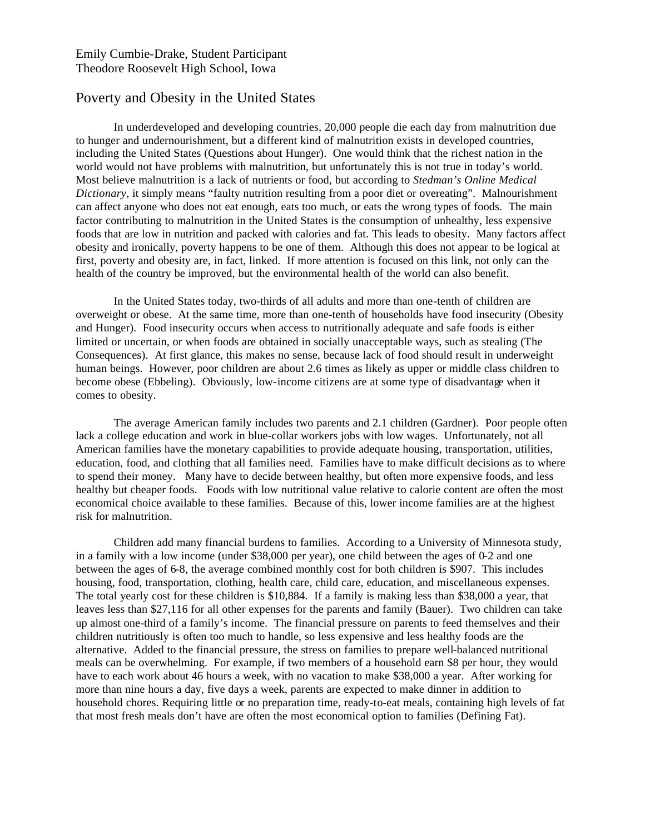## Emily Cumbie-Drake, Student Participant Theodore Roosevelt High School, Iowa

## Poverty and Obesity in the United States

In underdeveloped and developing countries, 20,000 people die each day from malnutrition due to hunger and undernourishment, but a different kind of malnutrition exists in developed countries, including the United States (Questions about Hunger). One would think that the richest nation in the world would not have problems with malnutrition, but unfortunately this is not true in today's world. Most believe malnutrition is a lack of nutrients or food, but according to *Stedman's Online Medical Dictionary*, it simply means "faulty nutrition resulting from a poor diet or overeating". Malnourishment can affect anyone who does not eat enough, eats too much, or eats the wrong types of foods. The main factor contributing to malnutrition in the United States is the consumption of unhealthy, less expensive foods that are low in nutrition and packed with calories and fat. This leads to obesity. Many factors affect obesity and ironically, poverty happens to be one of them. Although this does not appear to be logical at first, poverty and obesity are, in fact, linked. If more attention is focused on this link, not only can the health of the country be improved, but the environmental health of the world can also benefit.

In the United States today, two-thirds of all adults and more than one-tenth of children are overweight or obese. At the same time, more than one-tenth of households have food insecurity (Obesity and Hunger). Food insecurity occurs when access to nutritionally adequate and safe foods is either limited or uncertain, or when foods are obtained in socially unacceptable ways, such as stealing (The Consequences). At first glance, this makes no sense, because lack of food should result in underweight human beings. However, poor children are about 2.6 times as likely as upper or middle class children to become obese (Ebbeling). Obviously, low-income citizens are at some type of disadvantage when it comes to obesity.

The average American family includes two parents and 2.1 children (Gardner). Poor people often lack a college education and work in blue-collar workers jobs with low wages. Unfortunately, not all American families have the monetary capabilities to provide adequate housing, transportation, utilities, education, food, and clothing that all families need. Families have to make difficult decisions as to where to spend their money. Many have to decide between healthy, but often more expensive foods, and less healthy but cheaper foods. Foods with low nutritional value relative to calorie content are often the most economical choice available to these families. Because of this, lower income families are at the highest risk for malnutrition.

Children add many financial burdens to families. According to a University of Minnesota study, in a family with a low income (under \$38,000 per year), one child between the ages of 0-2 and one between the ages of 6-8, the average combined monthly cost for both children is \$907. This includes housing, food, transportation, clothing, health care, child care, education, and miscellaneous expenses. The total yearly cost for these children is \$10,884. If a family is making less than \$38,000 a year, that leaves less than \$27,116 for all other expenses for the parents and family (Bauer). Two children can take up almost one-third of a family's income. The financial pressure on parents to feed themselves and their children nutritiously is often too much to handle, so less expensive and less healthy foods are the alternative. Added to the financial pressure, the stress on families to prepare well-balanced nutritional meals can be overwhelming. For example, if two members of a household earn \$8 per hour, they would have to each work about 46 hours a week, with no vacation to make \$38,000 a year. After working for more than nine hours a day, five days a week, parents are expected to make dinner in addition to household chores. Requiring little or no preparation time, ready-to-eat meals, containing high levels of fat that most fresh meals don't have are often the most economical option to families (Defining Fat).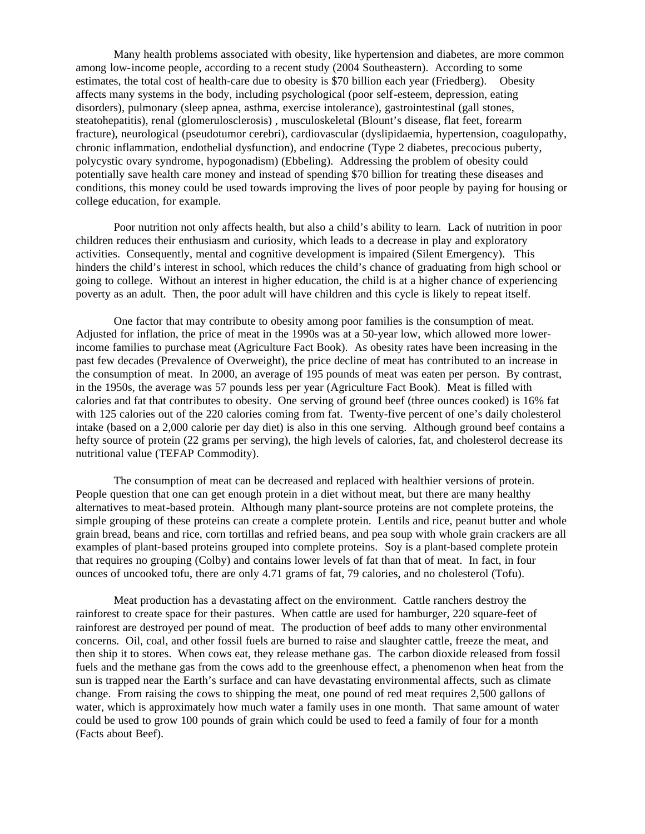Many health problems associated with obesity, like hypertension and diabetes, are more common among low-income people, according to a recent study (2004 Southeastern). According to some estimates, the total cost of health-care due to obesity is \$70 billion each year (Friedberg). Obesity affects many systems in the body, including psychological (poor self-esteem, depression, eating disorders), pulmonary (sleep apnea, asthma, exercise intolerance), gastrointestinal (gall stones, steatohepatitis), renal (glomerulosclerosis) , musculoskeletal (Blount's disease, flat feet, forearm fracture), neurological (pseudotumor cerebri), cardiovascular (dyslipidaemia, hypertension, coagulopathy, chronic inflammation, endothelial dysfunction), and endocrine (Type 2 diabetes, precocious puberty, polycystic ovary syndrome, hypogonadism) (Ebbeling). Addressing the problem of obesity could potentially save health care money and instead of spending \$70 billion for treating these diseases and conditions, this money could be used towards improving the lives of poor people by paying for housing or college education, for example.

Poor nutrition not only affects health, but also a child's ability to learn. Lack of nutrition in poor children reduces their enthusiasm and curiosity, which leads to a decrease in play and exploratory activities. Consequently, mental and cognitive development is impaired (Silent Emergency). This hinders the child's interest in school, which reduces the child's chance of graduating from high school or going to college. Without an interest in higher education, the child is at a higher chance of experiencing poverty as an adult. Then, the poor adult will have children and this cycle is likely to repeat itself.

One factor that may contribute to obesity among poor families is the consumption of meat. Adjusted for inflation, the price of meat in the 1990s was at a 50-year low, which allowed more lowerincome families to purchase meat (Agriculture Fact Book). As obesity rates have been increasing in the past few decades (Prevalence of Overweight), the price decline of meat has contributed to an increase in the consumption of meat. In 2000, an average of 195 pounds of meat was eaten per person. By contrast, in the 1950s, the average was 57 pounds less per year (Agriculture Fact Book). Meat is filled with calories and fat that contributes to obesity. One serving of ground beef (three ounces cooked) is 16% fat with 125 calories out of the 220 calories coming from fat. Twenty-five percent of one's daily cholesterol intake (based on a 2,000 calorie per day diet) is also in this one serving. Although ground beef contains a hefty source of protein (22 grams per serving), the high levels of calories, fat, and cholesterol decrease its nutritional value (TEFAP Commodity).

The consumption of meat can be decreased and replaced with healthier versions of protein. People question that one can get enough protein in a diet without meat, but there are many healthy alternatives to meat-based protein. Although many plant-source proteins are not complete proteins, the simple grouping of these proteins can create a complete protein. Lentils and rice, peanut butter and whole grain bread, beans and rice, corn tortillas and refried beans, and pea soup with whole grain crackers are all examples of plant-based proteins grouped into complete proteins. Soy is a plant-based complete protein that requires no grouping (Colby) and contains lower levels of fat than that of meat. In fact, in four ounces of uncooked tofu, there are only 4.71 grams of fat, 79 calories, and no cholesterol (Tofu).

Meat production has a devastating affect on the environment. Cattle ranchers destroy the rainforest to create space for their pastures. When cattle are used for hamburger, 220 square-feet of rainforest are destroyed per pound of meat. The production of beef adds to many other environmental concerns. Oil, coal, and other fossil fuels are burned to raise and slaughter cattle, freeze the meat, and then ship it to stores. When cows eat, they release methane gas. The carbon dioxide released from fossil fuels and the methane gas from the cows add to the greenhouse effect, a phenomenon when heat from the sun is trapped near the Earth's surface and can have devastating environmental affects, such as climate change. From raising the cows to shipping the meat, one pound of red meat requires 2,500 gallons of water, which is approximately how much water a family uses in one month. That same amount of water could be used to grow 100 pounds of grain which could be used to feed a family of four for a month (Facts about Beef).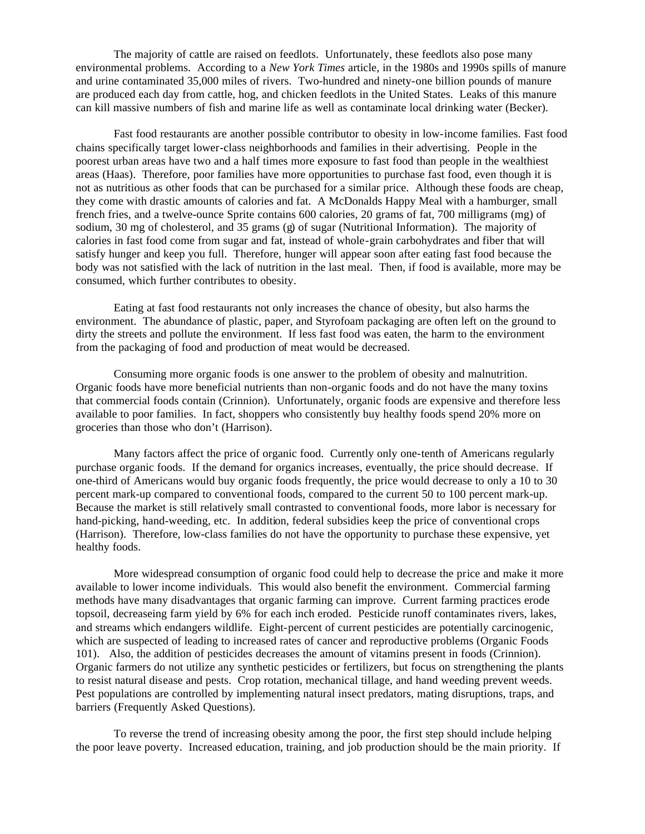The majority of cattle are raised on feedlots. Unfortunately, these feedlots also pose many environmental problems. According to a *New York Times* article, in the 1980s and 1990s spills of manure and urine contaminated 35,000 miles of rivers. Two-hundred and ninety-one billion pounds of manure are produced each day from cattle, hog, and chicken feedlots in the United States. Leaks of this manure can kill massive numbers of fish and marine life as well as contaminate local drinking water (Becker).

Fast food restaurants are another possible contributor to obesity in low-income families. Fast food chains specifically target lower-class neighborhoods and families in their advertising. People in the poorest urban areas have two and a half times more exposure to fast food than people in the wealthiest areas (Haas). Therefore, poor families have more opportunities to purchase fast food, even though it is not as nutritious as other foods that can be purchased for a similar price. Although these foods are cheap, they come with drastic amounts of calories and fat. A McDonalds Happy Meal with a hamburger, small french fries, and a twelve-ounce Sprite contains 600 calories, 20 grams of fat, 700 milligrams (mg) of sodium, 30 mg of cholesterol, and 35 grams (g) of sugar (Nutritional Information). The majority of calories in fast food come from sugar and fat, instead of whole-grain carbohydrates and fiber that will satisfy hunger and keep you full. Therefore, hunger will appear soon after eating fast food because the body was not satisfied with the lack of nutrition in the last meal. Then, if food is available, more may be consumed, which further contributes to obesity.

Eating at fast food restaurants not only increases the chance of obesity, but also harms the environment. The abundance of plastic, paper, and Styrofoam packaging are often left on the ground to dirty the streets and pollute the environment. If less fast food was eaten, the harm to the environment from the packaging of food and production of meat would be decreased.

Consuming more organic foods is one answer to the problem of obesity and malnutrition. Organic foods have more beneficial nutrients than non-organic foods and do not have the many toxins that commercial foods contain (Crinnion). Unfortunately, organic foods are expensive and therefore less available to poor families. In fact, shoppers who consistently buy healthy foods spend 20% more on groceries than those who don't (Harrison).

Many factors affect the price of organic food. Currently only one-tenth of Americans regularly purchase organic foods. If the demand for organics increases, eventually, the price should decrease. If one-third of Americans would buy organic foods frequently, the price would decrease to only a 10 to 30 percent mark-up compared to conventional foods, compared to the current 50 to 100 percent mark-up. Because the market is still relatively small contrasted to conventional foods, more labor is necessary for hand-picking, hand-weeding, etc. In addition, federal subsidies keep the price of conventional crops (Harrison). Therefore, low-class families do not have the opportunity to purchase these expensive, yet healthy foods.

More widespread consumption of organic food could help to decrease the price and make it more available to lower income individuals. This would also benefit the environment. Commercial farming methods have many disadvantages that organic farming can improve. Current farming practices erode topsoil, decreaseing farm yield by 6% for each inch eroded. Pesticide runoff contaminates rivers, lakes, and streams which endangers wildlife. Eight-percent of current pesticides are potentially carcinogenic, which are suspected of leading to increased rates of cancer and reproductive problems (Organic Foods 101). Also, the addition of pesticides decreases the amount of vitamins present in foods (Crinnion). Organic farmers do not utilize any synthetic pesticides or fertilizers, but focus on strengthening the plants to resist natural disease and pests. Crop rotation, mechanical tillage, and hand weeding prevent weeds. Pest populations are controlled by implementing natural insect predators, mating disruptions, traps, and barriers (Frequently Asked Questions).

To reverse the trend of increasing obesity among the poor, the first step should include helping the poor leave poverty. Increased education, training, and job production should be the main priority. If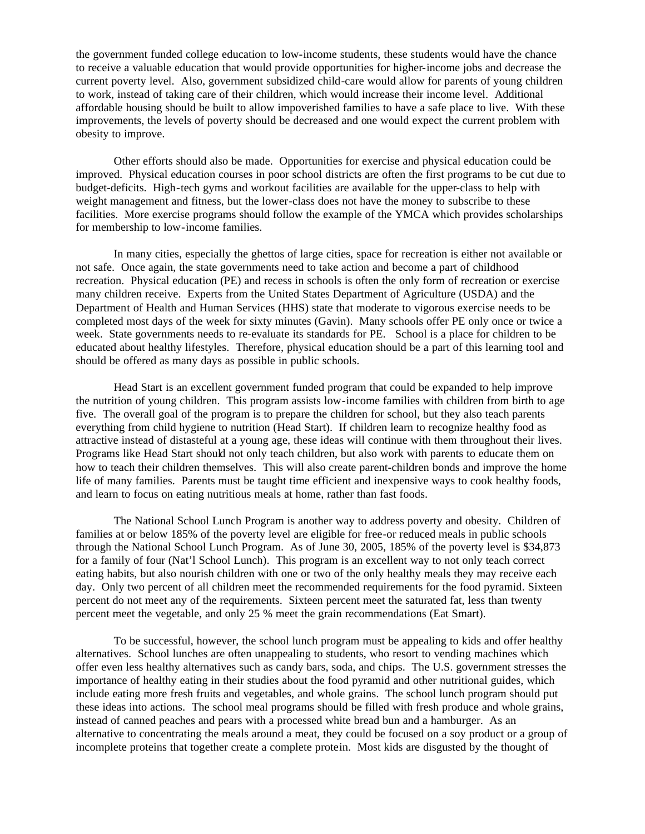the government funded college education to low-income students, these students would have the chance to receive a valuable education that would provide opportunities for higher-income jobs and decrease the current poverty level. Also, government subsidized child-care would allow for parents of young children to work, instead of taking care of their children, which would increase their income level. Additional affordable housing should be built to allow impoverished families to have a safe place to live. With these improvements, the levels of poverty should be decreased and one would expect the current problem with obesity to improve.

Other efforts should also be made. Opportunities for exercise and physical education could be improved. Physical education courses in poor school districts are often the first programs to be cut due to budget-deficits. High-tech gyms and workout facilities are available for the upper-class to help with weight management and fitness, but the lower-class does not have the money to subscribe to these facilities. More exercise programs should follow the example of the YMCA which provides scholarships for membership to low-income families.

In many cities, especially the ghettos of large cities, space for recreation is either not available or not safe. Once again, the state governments need to take action and become a part of childhood recreation. Physical education (PE) and recess in schools is often the only form of recreation or exercise many children receive. Experts from the United States Department of Agriculture (USDA) and the Department of Health and Human Services (HHS) state that moderate to vigorous exercise needs to be completed most days of the week for sixty minutes (Gavin). Many schools offer PE only once or twice a week. State governments needs to re-evaluate its standards for PE. School is a place for children to be educated about healthy lifestyles. Therefore, physical education should be a part of this learning tool and should be offered as many days as possible in public schools.

Head Start is an excellent government funded program that could be expanded to help improve the nutrition of young children. This program assists low-income families with children from birth to age five. The overall goal of the program is to prepare the children for school, but they also teach parents everything from child hygiene to nutrition (Head Start). If children learn to recognize healthy food as attractive instead of distasteful at a young age, these ideas will continue with them throughout their lives. Programs like Head Start should not only teach children, but also work with parents to educate them on how to teach their children themselves. This will also create parent-children bonds and improve the home life of many families. Parents must be taught time efficient and inexpensive ways to cook healthy foods, and learn to focus on eating nutritious meals at home, rather than fast foods.

The National School Lunch Program is another way to address poverty and obesity. Children of families at or below 185% of the poverty level are eligible for free-or reduced meals in public schools through the National School Lunch Program. As of June 30, 2005, 185% of the poverty level is \$34,873 for a family of four (Nat'l School Lunch). This program is an excellent way to not only teach correct eating habits, but also nourish children with one or two of the only healthy meals they may receive each day. Only two percent of all children meet the recommended requirements for the food pyramid. Sixteen percent do not meet any of the requirements. Sixteen percent meet the saturated fat, less than twenty percent meet the vegetable, and only 25 % meet the grain recommendations (Eat Smart).

To be successful, however, the school lunch program must be appealing to kids and offer healthy alternatives. School lunches are often unappealing to students, who resort to vending machines which offer even less healthy alternatives such as candy bars, soda, and chips. The U.S. government stresses the importance of healthy eating in their studies about the food pyramid and other nutritional guides, which include eating more fresh fruits and vegetables, and whole grains. The school lunch program should put these ideas into actions. The school meal programs should be filled with fresh produce and whole grains, instead of canned peaches and pears with a processed white bread bun and a hamburger. As an alternative to concentrating the meals around a meat, they could be focused on a soy product or a group of incomplete proteins that together create a complete protein. Most kids are disgusted by the thought of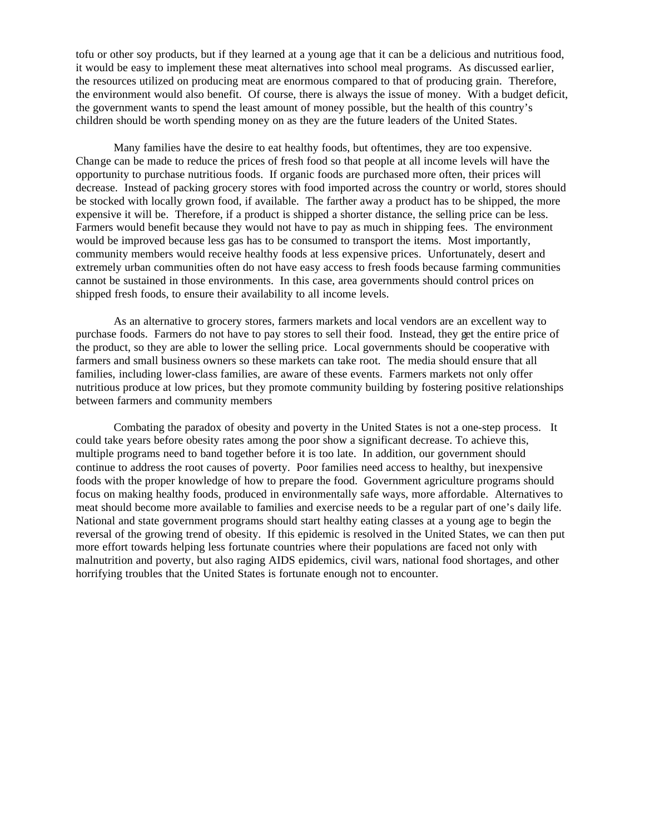tofu or other soy products, but if they learned at a young age that it can be a delicious and nutritious food, it would be easy to implement these meat alternatives into school meal programs. As discussed earlier, the resources utilized on producing meat are enormous compared to that of producing grain. Therefore, the environment would also benefit. Of course, there is always the issue of money. With a budget deficit, the government wants to spend the least amount of money possible, but the health of this country's children should be worth spending money on as they are the future leaders of the United States.

Many families have the desire to eat healthy foods, but oftentimes, they are too expensive. Change can be made to reduce the prices of fresh food so that people at all income levels will have the opportunity to purchase nutritious foods. If organic foods are purchased more often, their prices will decrease. Instead of packing grocery stores with food imported across the country or world, stores should be stocked with locally grown food, if available. The farther away a product has to be shipped, the more expensive it will be. Therefore, if a product is shipped a shorter distance, the selling price can be less. Farmers would benefit because they would not have to pay as much in shipping fees. The environment would be improved because less gas has to be consumed to transport the items. Most importantly, community members would receive healthy foods at less expensive prices. Unfortunately, desert and extremely urban communities often do not have easy access to fresh foods because farming communities cannot be sustained in those environments. In this case, area governments should control prices on shipped fresh foods, to ensure their availability to all income levels.

As an alternative to grocery stores, farmers markets and local vendors are an excellent way to purchase foods. Farmers do not have to pay stores to sell their food. Instead, they get the entire price of the product, so they are able to lower the selling price. Local governments should be cooperative with farmers and small business owners so these markets can take root. The media should ensure that all families, including lower-class families, are aware of these events. Farmers markets not only offer nutritious produce at low prices, but they promote community building by fostering positive relationships between farmers and community members

Combating the paradox of obesity and poverty in the United States is not a one-step process. It could take years before obesity rates among the poor show a significant decrease. To achieve this, multiple programs need to band together before it is too late. In addition, our government should continue to address the root causes of poverty. Poor families need access to healthy, but inexpensive foods with the proper knowledge of how to prepare the food. Government agriculture programs should focus on making healthy foods, produced in environmentally safe ways, more affordable. Alternatives to meat should become more available to families and exercise needs to be a regular part of one's daily life. National and state government programs should start healthy eating classes at a young age to begin the reversal of the growing trend of obesity. If this epidemic is resolved in the United States, we can then put more effort towards helping less fortunate countries where their populations are faced not only with malnutrition and poverty, but also raging AIDS epidemics, civil wars, national food shortages, and other horrifying troubles that the United States is fortunate enough not to encounter.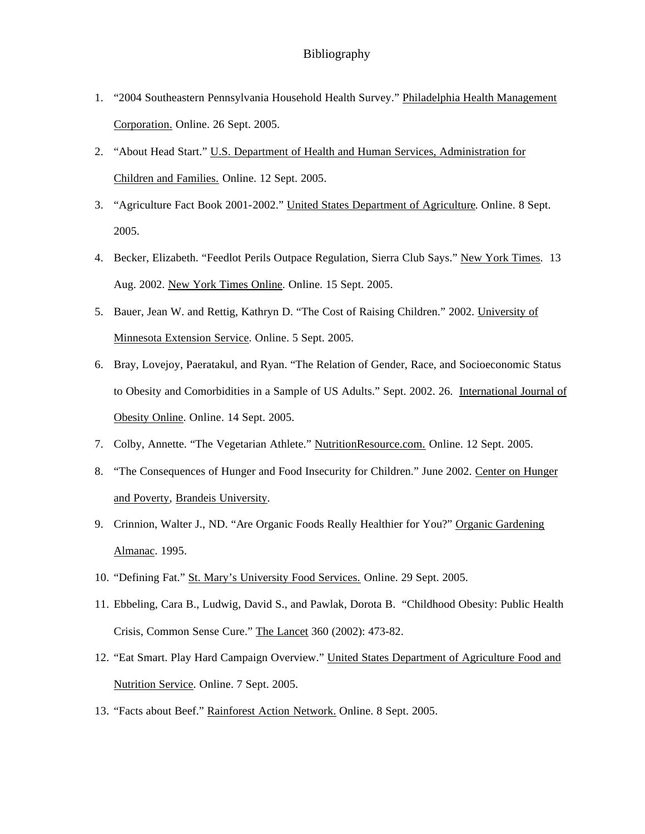## Bibliography

- 1. "2004 Southeastern Pennsylvania Household Health Survey." Philadelphia Health Management Corporation. Online. 26 Sept. 2005.
- 2. "About Head Start." U.S. Department of Health and Human Services, Administration for Children and Families. Online. 12 Sept. 2005.
- 3. "Agriculture Fact Book 2001-2002." United States Department of Agriculture. Online. 8 Sept. 2005.
- 4. Becker, Elizabeth. "Feedlot Perils Outpace Regulation, Sierra Club Says." New York Times. 13 Aug. 2002. New York Times Online. Online. 15 Sept. 2005.
- 5. Bauer, Jean W. and Rettig, Kathryn D. "The Cost of Raising Children." 2002. University of Minnesota Extension Service. Online. 5 Sept. 2005.
- 6. Bray, Lovejoy, Paeratakul, and Ryan. "The Relation of Gender, Race, and Socioeconomic Status to Obesity and Comorbidities in a Sample of US Adults." Sept. 2002. 26. International Journal of Obesity Online. Online. 14 Sept. 2005.
- 7. Colby, Annette. "The Vegetarian Athlete." NutritionResource.com. Online. 12 Sept. 2005.
- 8. "The Consequences of Hunger and Food Insecurity for Children." June 2002. Center on Hunger and Poverty, Brandeis University.
- 9. Crinnion, Walter J., ND. "Are Organic Foods Really Healthier for You?" Organic Gardening Almanac. 1995.
- 10. "Defining Fat." St. Mary's University Food Services. Online. 29 Sept. 2005.
- 11. Ebbeling, Cara B., Ludwig, David S., and Pawlak, Dorota B. "Childhood Obesity: Public Health Crisis, Common Sense Cure." The Lancet 360 (2002): 473-82.
- 12. "Eat Smart. Play Hard Campaign Overview." United States Department of Agriculture Food and Nutrition Service. Online. 7 Sept. 2005.
- 13. "Facts about Beef." Rainforest Action Network. Online. 8 Sept. 2005.